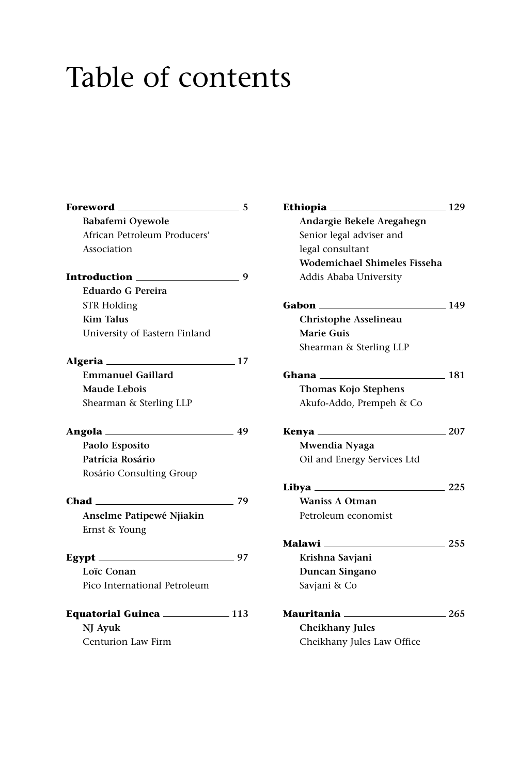## Table of contents

| <b>Foreword</b> 5                 | E  |
|-----------------------------------|----|
| Babafemi Oyewole                  |    |
| African Petroleum Producers'      |    |
| Association                       |    |
|                                   |    |
| <b>Eduardo G Pereira</b>          |    |
| <b>STR Holding</b>                | G  |
| <b>Kim Talus</b>                  |    |
| University of Eastern Finland     |    |
|                                   |    |
| <b>Emmanuel Gaillard</b>          | G  |
| Maude Lebois                      |    |
| Shearman & Sterling LLP           |    |
|                                   | к  |
| Paolo Esposito                    |    |
| Patrícia Rosário                  |    |
| Rosário Consulting Group          |    |
| $Chad$ $79$                       | Li |
| Anselme Patipewé Njiakin          |    |
| Ernst & Young                     |    |
| Egypt $\frac{\qquad \qquad }{27}$ | M  |
| Loïc Conan                        |    |
| Pico International Petroleum      |    |
| Equatorial Guinea ____________113 |    |
| NJ Avuk                           |    |
| Centurion Law Firm                |    |

| Ethiopia <sub>—</sub>               | 129 |
|-------------------------------------|-----|
| Andargie Bekele Aregahegn           |     |
| Senior legal adviser and            |     |
| legal consultant                    |     |
| <b>Wodemichael Shimeles Fisseha</b> |     |
| Addis Ababa University              |     |
| Gabon                               | 149 |
| Christophe Asselineau               |     |
| <b>Marie Guis</b>                   |     |
| Shearman & Sterling LLP             |     |
| Ghana                               | 181 |
| Thomas Kojo Stephens                |     |
| Akufo-Addo, Prempeh & Co            |     |
| Kenya ____                          | 207 |
| Mwendia Nyaga                       |     |
| Oil and Energy Services Ltd         |     |
| Libya ______                        | 225 |
| <b>Waniss A Otman</b>               |     |
| Petroleum economist                 |     |
| Malawi                              | 255 |
| Krishna Savjani                     |     |
| Duncan Singano                      |     |
| Savjani & Co                        |     |
| Mauritania                          | 265 |
| <b>Cheikhany Jules</b>              |     |
| Cheikhany Jules Law Office          |     |